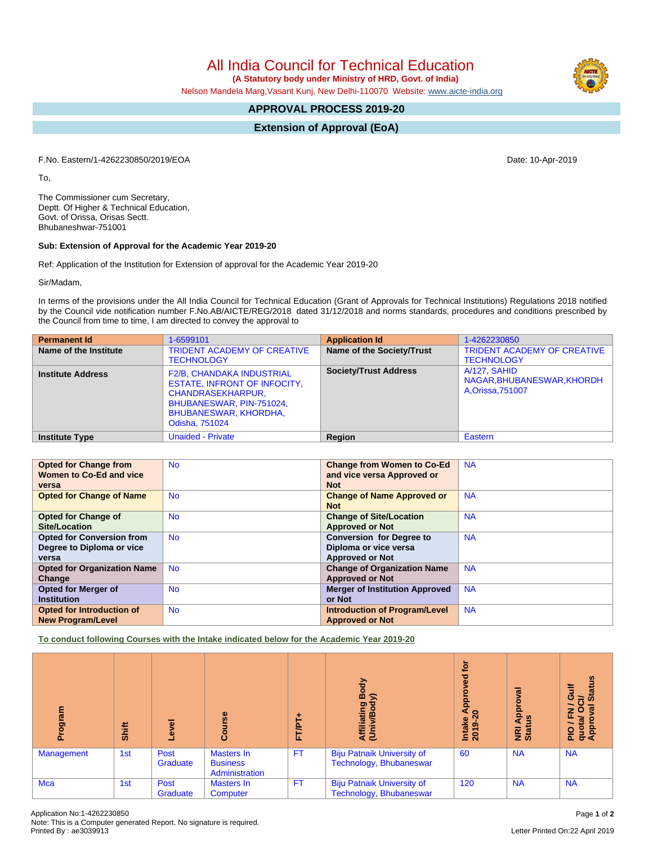All India Council for Technical Education

 **(A Statutory body under Ministry of HRD, Govt. of India)**

Nelson Mandela Marg,Vasant Kunj, New Delhi-110070 Website: [www.aicte-india.org](http://www.aicte-india.org)

## **APPROVAL PROCESS 2019-20**

**Extension of Approval (EoA)**

F.No. Eastern/1-4262230850/2019/EOA Date: 10-Apr-2019

To,

The Commissioner cum Secretary, Deptt. Of Higher & Technical Education, Govt. of Orissa, Orisas Sectt. Bhubaneshwar-751001

## **Sub: Extension of Approval for the Academic Year 2019-20**

Ref: Application of the Institution for Extension of approval for the Academic Year 2019-20

Sir/Madam,

In terms of the provisions under the All India Council for Technical Education (Grant of Approvals for Technical Institutions) Regulations 2018 notified by the Council vide notification number F.No.AB/AICTE/REG/2018 dated 31/12/2018 and norms standards, procedures and conditions prescribed by the Council from time to time, I am directed to convey the approval to

| <b>Permanent Id</b>      | 1-6599101                                                                                                                                                                         | <b>Application Id</b>            | 1-4262230850                                                    |
|--------------------------|-----------------------------------------------------------------------------------------------------------------------------------------------------------------------------------|----------------------------------|-----------------------------------------------------------------|
| Name of the Institute    | <b>TRIDENT ACADEMY OF CREATIVE</b><br><b>TECHNOLOGY</b>                                                                                                                           | <b>Name of the Society/Trust</b> | <b>TRIDENT ACADEMY OF CREATIVE</b><br><b>TECHNOLOGY</b>         |
| <b>Institute Address</b> | <b>F2/B, CHANDAKA INDUSTRIAL</b><br><b>ESTATE, INFRONT OF INFOCITY,</b><br><b>CHANDRASEKHARPUR,</b><br>BHUBANESWAR, PIN-751024,<br><b>BHUBANESWAR, KHORDHA,</b><br>Odisha, 751024 | <b>Society/Trust Address</b>     | A/127, SAHID<br>NAGAR, BHUBANESWAR, KHORDH<br>A, Orissa, 751007 |
| <b>Institute Type</b>    | <b>Unaided - Private</b>                                                                                                                                                          | Region                           | Eastern                                                         |

| <b>Opted for Change from</b>       | <b>No</b> | <b>Change from Women to Co-Ed</b>     | <b>NA</b> |
|------------------------------------|-----------|---------------------------------------|-----------|
| Women to Co-Ed and vice            |           | and vice versa Approved or            |           |
| versa                              |           | <b>Not</b>                            |           |
| <b>Opted for Change of Name</b>    | <b>No</b> | <b>Change of Name Approved or</b>     | <b>NA</b> |
|                                    |           | <b>Not</b>                            |           |
| <b>Opted for Change of</b>         | <b>No</b> | <b>Change of Site/Location</b>        | <b>NA</b> |
| Site/Location                      |           | <b>Approved or Not</b>                |           |
| <b>Opted for Conversion from</b>   | <b>No</b> | <b>Conversion for Degree to</b>       | <b>NA</b> |
| Degree to Diploma or vice          |           | Diploma or vice versa                 |           |
| versa                              |           | <b>Approved or Not</b>                |           |
| <b>Opted for Organization Name</b> | <b>No</b> | <b>Change of Organization Name</b>    | <b>NA</b> |
| Change                             |           | <b>Approved or Not</b>                |           |
| <b>Opted for Merger of</b>         | <b>No</b> | <b>Merger of Institution Approved</b> | <b>NA</b> |
| <b>Institution</b>                 |           | or Not                                |           |
| Opted for Introduction of          | <b>No</b> | <b>Introduction of Program/Level</b>  | <b>NA</b> |
| <b>New Program/Level</b>           |           | <b>Approved or Not</b>                |           |

**To conduct following Courses with the Intake indicated below for the Academic Year 2019-20**

| rogram            | Shift | Level            | rse<br>Cour                                     | FT/PT     | Body<br>ຣ<br>Affiliating<br>(Univ/Body                       | ÷ٍة<br>Ъe<br>Appl<br>$\overline{20}$<br><b>Intake</b><br>2019-2 | ह<br>၀<br>Appr<br><u>ળ</u><br><b>NE</b><br>Stat | <b>Status</b><br><b>Gulf</b><br>$\vec{c}$<br>$\overline{\phantom{0}}$<br>$\overline{5}$<br>$Z$ 0<br>PIO / FI<br>quota/<br>Approv |
|-------------------|-------|------------------|-------------------------------------------------|-----------|--------------------------------------------------------------|-----------------------------------------------------------------|-------------------------------------------------|----------------------------------------------------------------------------------------------------------------------------------|
| <b>Management</b> | 1st   | Post<br>Graduate | Masters In<br><b>Business</b><br>Administration | <b>FT</b> | <b>Biju Patnaik University of</b><br>Technology, Bhubaneswar | 60                                                              | <b>NA</b>                                       | <b>NA</b>                                                                                                                        |
| Mca               | 1st   | Post<br>Graduate | Masters In<br>Computer                          | <b>FT</b> | <b>Biju Patnaik University of</b><br>Technology, Bhubaneswar | 120                                                             | <b>NA</b>                                       | <b>NA</b>                                                                                                                        |